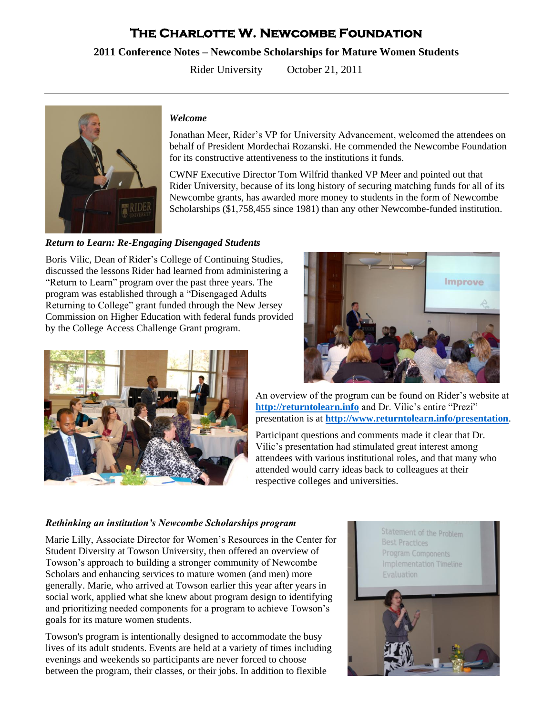# **The Charlotte W. Newcombe Foundation**

# **2011 Conference Notes – Newcombe Scholarships for Mature Women Students**

Rider University October 21, 2011



#### *Welcome*

Jonathan Meer, Rider's VP for University Advancement, welcomed the attendees on behalf of President Mordechai Rozanski. He commended the Newcombe Foundation for its constructive attentiveness to the institutions it funds.

CWNF Executive Director Tom Wilfrid thanked VP Meer and pointed out that Rider University, because of its long history of securing matching funds for all of its Newcombe grants, has awarded more money to students in the form of Newcombe Scholarships (\$1,758,455 since 1981) than any other Newcombe-funded institution.

# *Return to Learn: Re-Engaging Disengaged Students*

Boris Vilic, Dean of Rider's College of Continuing Studies, discussed the lessons Rider had learned from administering a "Return to Learn" program over the past three years. The program was established through a "Disengaged Adults Returning to College" grant funded through the New Jersey Commission on Higher Education with federal funds provided by the College Access Challenge Grant program.





An overview of the program can be found on Rider's website at **[http://returntolearn.info](http://returntolearn.info/)** and Dr. Vilic's entire "Prezi" presentation is at **<http://www.returntolearn.info/presentation>**.

Participant questions and comments made it clear that Dr. Vilic's presentation had stimulated great interest among attendees with various institutional roles, and that many who attended would carry ideas back to colleagues at their respective colleges and universities.

#### *Rethinking an institution's Newcombe Scholarships program*

Marie Lilly, Associate Director for Women's Resources in the Center for Student Diversity at Towson University, then offered an overview of Towson's approach to building a stronger community of Newcombe Scholars and enhancing services to mature women (and men) more generally. Marie, who arrived at Towson earlier this year after years in social work, applied what she knew about program design to identifying and prioritizing needed components for a program to achieve Towson's goals for its mature women students.

Towson's program is intentionally designed to accommodate the busy lives of its adult students. Events are held at a variety of times including evenings and weekends so participants are never forced to choose between the program, their classes, or their jobs. In addition to flexible

Statement of the Problem **Best Practices** Program Components **Implementation Timeline**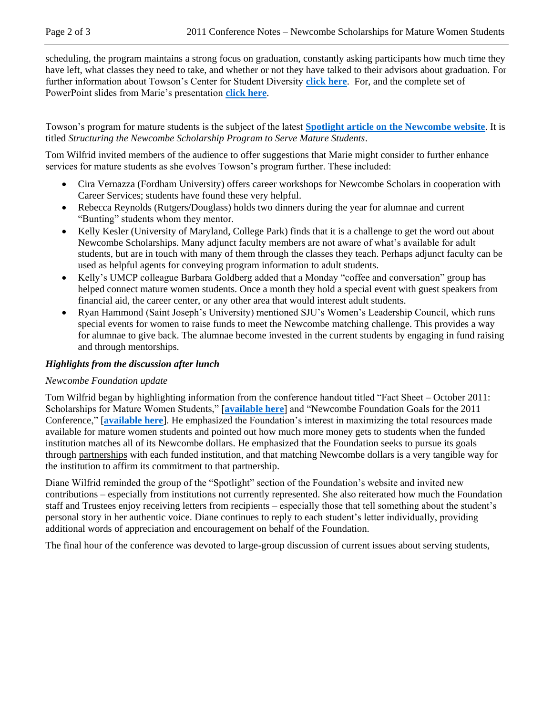scheduling, the program maintains a strong focus on graduation, constantly asking participants how much time they have left, what classes they need to take, and whether or not they have talked to their advisors about graduation. For further information about Towson's Center for Student Diversity **[click here](http://www.towson.edu/diversity/)**. For, and the complete set of PowerPoint slides from Marie's presentation **[click here](http://newcombefoundation.org/docs/lilly_newcombe_conference_2011_ppt.pdf)**.

Towson's program for mature students is the subject of the latest **[Spotlight article on the Newcombe website](http://www.newcombefoundation.org/featured_programs_2011_11.html)**. It is titled *Structuring the Newcombe Scholarship Program to Serve Mature Students*.

Tom Wilfrid invited members of the audience to offer suggestions that Marie might consider to further enhance services for mature students as she evolves Towson's program further. These included:

- Cira Vernazza (Fordham University) offers career workshops for Newcombe Scholars in cooperation with Career Services; students have found these very helpful.
- Rebecca Reynolds (Rutgers/Douglass) holds two dinners during the year for alumnae and current "Bunting" students whom they mentor.
- Kelly Kesler (University of Maryland, College Park) finds that it is a challenge to get the word out about Newcombe Scholarships. Many adjunct faculty members are not aware of what's available for adult students, but are in touch with many of them through the classes they teach. Perhaps adjunct faculty can be used as helpful agents for conveying program information to adult students.
- Kelly's UMCP colleague Barbara Goldberg added that a Monday "coffee and conversation" group has helped connect mature women students. Once a month they hold a special event with guest speakers from financial aid, the career center, or any other area that would interest adult students.
- Ryan Hammond (Saint Joseph's University) mentioned SJU's Women's Leadership Council, which runs special events for women to raise funds to meet the Newcombe matching challenge. This provides a way for alumnae to give back. The alumnae become invested in the current students by engaging in fund raising and through mentorships.

# *Highlights from the discussion after lunch*

# *Newcombe Foundation update*

Tom Wilfrid began by highlighting information from the conference handout titled "Fact Sheet – October 2011: Scholarships for Mature Women Students," [**[available here](http://newcombefoundation.org/docs/mw_conference_fact_sheet_2011.pdf)**] and "Newcombe Foundation Goals for the 2011 Conference," [**[available here](http://newcombefoundation.org/docs/mw_conference_goals_2011.pdf)**]. He emphasized the Foundation's interest in maximizing the total resources made available for mature women students and pointed out how much more money gets to students when the funded institution matches all of its Newcombe dollars. He emphasized that the Foundation seeks to pursue its goals through partnerships with each funded institution, and that matching Newcombe dollars is a very tangible way for the institution to affirm its commitment to that partnership.

Diane Wilfrid reminded the group of the "Spotlight" section of the Foundation's website and invited new contributions – especially from institutions not currently represented. She also reiterated how much the Foundation staff and Trustees enjoy receiving letters from recipients – especially those that tell something about the student's personal story in her authentic voice. Diane continues to reply to each student's letter individually, providing additional words of appreciation and encouragement on behalf of the Foundation.

The final hour of the conference was devoted to large-group discussion of current issues about serving students,